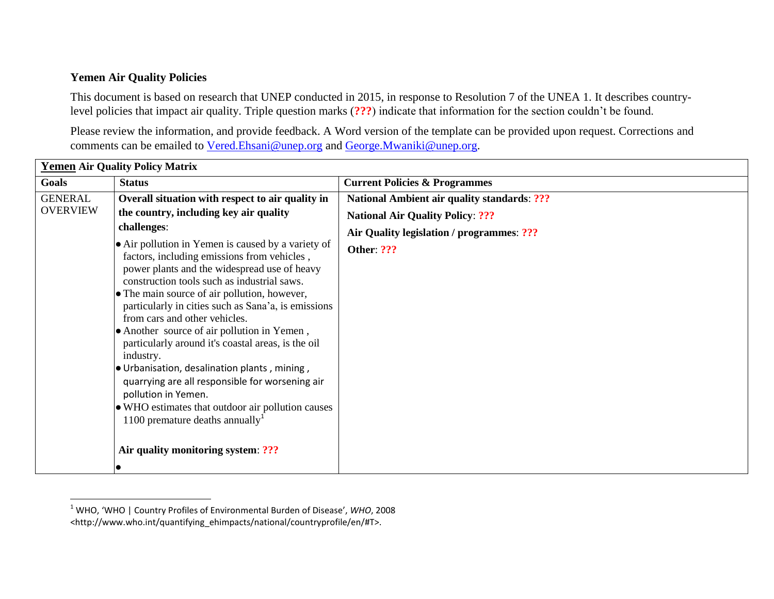## **Yemen Air Quality Policies**

l

This document is based on research that UNEP conducted in 2015, in response to Resolution 7 of the UNEA 1. It describes countrylevel policies that impact air quality. Triple question marks (**???**) indicate that information for the section couldn't be found.

Please review the information, and provide feedback. A Word version of the template can be provided upon request. Corrections and comments can be emailed to [Vered.Ehsani@unep.org](mailto:Vered.Ehsani@unep.org) and [George.Mwaniki@unep.org.](mailto:George.Mwaniki@unep.org)

| <b>Yemen Air Quality Policy Matrix</b> |                                                                                                                                                                                                                                                                                                                                                                                                                                                                                                                                                                                                                                                                                                                                |                                                    |  |  |
|----------------------------------------|--------------------------------------------------------------------------------------------------------------------------------------------------------------------------------------------------------------------------------------------------------------------------------------------------------------------------------------------------------------------------------------------------------------------------------------------------------------------------------------------------------------------------------------------------------------------------------------------------------------------------------------------------------------------------------------------------------------------------------|----------------------------------------------------|--|--|
| Goals                                  | <b>Status</b>                                                                                                                                                                                                                                                                                                                                                                                                                                                                                                                                                                                                                                                                                                                  | <b>Current Policies &amp; Programmes</b>           |  |  |
| <b>GENERAL</b><br><b>OVERVIEW</b>      | Overall situation with respect to air quality in                                                                                                                                                                                                                                                                                                                                                                                                                                                                                                                                                                                                                                                                               | <b>National Ambient air quality standards: ???</b> |  |  |
|                                        | the country, including key air quality                                                                                                                                                                                                                                                                                                                                                                                                                                                                                                                                                                                                                                                                                         | <b>National Air Quality Policy: ???</b>            |  |  |
|                                        | challenges:                                                                                                                                                                                                                                                                                                                                                                                                                                                                                                                                                                                                                                                                                                                    | Air Quality legislation / programmes: ???          |  |  |
|                                        | • Air pollution in Yemen is caused by a variety of<br>factors, including emissions from vehicles,<br>power plants and the widespread use of heavy<br>construction tools such as industrial saws.<br>• The main source of air pollution, however,<br>particularly in cities such as Sana'a, is emissions<br>from cars and other vehicles.<br>• Another source of air pollution in Yemen,<br>particularly around it's coastal areas, is the oil<br>industry.<br>. Urbanisation, desalination plants, mining,<br>quarrying are all responsible for worsening air<br>pollution in Yemen.<br>• WHO estimates that outdoor air pollution causes<br>1100 premature deaths annually <sup>1</sup><br>Air quality monitoring system: ??? | <b>Other: ???</b>                                  |  |  |

<sup>1</sup> WHO, 'WHO | Country Profiles of Environmental Burden of Disease', *WHO*, 2008 <http://www.who.int/quantifying\_ehimpacts/national/countryprofile/en/#T>.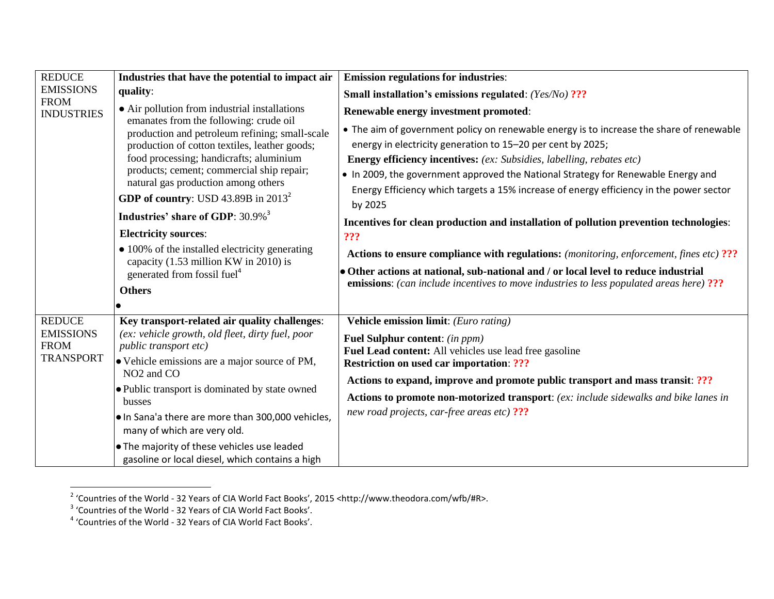| <b>REDUCE</b><br><b>EMISSIONS</b><br><b>FROM</b><br><b>INDUSTRIES</b> | Industries that have the potential to impact air                                                                                                                                                                                                                                                                                                                                                                                                                                                                                                                                                    | <b>Emission regulations for industries:</b>                                                                                                                                                                                                                                                                                                                                                                                                                                                                                                                                                                                           |
|-----------------------------------------------------------------------|-----------------------------------------------------------------------------------------------------------------------------------------------------------------------------------------------------------------------------------------------------------------------------------------------------------------------------------------------------------------------------------------------------------------------------------------------------------------------------------------------------------------------------------------------------------------------------------------------------|---------------------------------------------------------------------------------------------------------------------------------------------------------------------------------------------------------------------------------------------------------------------------------------------------------------------------------------------------------------------------------------------------------------------------------------------------------------------------------------------------------------------------------------------------------------------------------------------------------------------------------------|
|                                                                       | quality:                                                                                                                                                                                                                                                                                                                                                                                                                                                                                                                                                                                            | Small installation's emissions regulated: (Yes/No) ???                                                                                                                                                                                                                                                                                                                                                                                                                                                                                                                                                                                |
|                                                                       | • Air pollution from industrial installations<br>emanates from the following: crude oil<br>production and petroleum refining; small-scale<br>production of cotton textiles, leather goods;<br>food processing; handicrafts; aluminium<br>products; cement; commercial ship repair;<br>natural gas production among others<br>GDP of country: USD 43.89B in $2013^2$<br>Industries' share of GDP: 30.9% <sup>3</sup><br><b>Electricity sources:</b><br>• 100% of the installed electricity generating<br>capacity $(1.53 \text{ million KW in } 2010)$ is<br>generated from fossil fuel <sup>4</sup> | Renewable energy investment promoted:                                                                                                                                                                                                                                                                                                                                                                                                                                                                                                                                                                                                 |
|                                                                       |                                                                                                                                                                                                                                                                                                                                                                                                                                                                                                                                                                                                     | • The aim of government policy on renewable energy is to increase the share of renewable<br>energy in electricity generation to 15-20 per cent by 2025;<br><b>Energy efficiency incentives:</b> (ex: Subsidies, labelling, rebates etc)<br>. In 2009, the government approved the National Strategy for Renewable Energy and<br>Energy Efficiency which targets a 15% increase of energy efficiency in the power sector<br>by 2025<br>Incentives for clean production and installation of pollution prevention technologies:<br>???<br><b>Actions to ensure compliance with regulations:</b> (monitoring, enforcement, fines etc) ??? |
|                                                                       |                                                                                                                                                                                                                                                                                                                                                                                                                                                                                                                                                                                                     | • Other actions at national, sub-national and / or local level to reduce industrial                                                                                                                                                                                                                                                                                                                                                                                                                                                                                                                                                   |
|                                                                       | <b>Others</b>                                                                                                                                                                                                                                                                                                                                                                                                                                                                                                                                                                                       | <b>emissions:</b> (can include incentives to move industries to less populated areas here) ???                                                                                                                                                                                                                                                                                                                                                                                                                                                                                                                                        |
|                                                                       |                                                                                                                                                                                                                                                                                                                                                                                                                                                                                                                                                                                                     |                                                                                                                                                                                                                                                                                                                                                                                                                                                                                                                                                                                                                                       |
| <b>REDUCE</b>                                                         | Key transport-related air quality challenges:                                                                                                                                                                                                                                                                                                                                                                                                                                                                                                                                                       | Vehicle emission limit: (Euro rating)                                                                                                                                                                                                                                                                                                                                                                                                                                                                                                                                                                                                 |
| <b>EMISSIONS</b><br><b>FROM</b><br><b>TRANSPORT</b>                   | (ex: vehicle growth, old fleet, dirty fuel, poor<br>public transport etc)<br>• Vehicle emissions are a major source of PM,                                                                                                                                                                                                                                                                                                                                                                                                                                                                          | <b>Fuel Sulphur content:</b> (in ppm)<br>Fuel Lead content: All vehicles use lead free gasoline<br><b>Restriction on used car importation: ???</b><br>Actions to expand, improve and promote public transport and mass transit: ???<br>Actions to promote non-motorized transport: (ex: include sidewalks and bike lanes in<br>new road projects, car-free areas etc) ???                                                                                                                                                                                                                                                             |
|                                                                       | NO <sub>2</sub> and CO<br>· Public transport is dominated by state owned<br>busses                                                                                                                                                                                                                                                                                                                                                                                                                                                                                                                  |                                                                                                                                                                                                                                                                                                                                                                                                                                                                                                                                                                                                                                       |
|                                                                       | . In Sana'a there are more than 300,000 vehicles,<br>many of which are very old.                                                                                                                                                                                                                                                                                                                                                                                                                                                                                                                    |                                                                                                                                                                                                                                                                                                                                                                                                                                                                                                                                                                                                                                       |
|                                                                       | . The majority of these vehicles use leaded<br>gasoline or local diesel, which contains a high                                                                                                                                                                                                                                                                                                                                                                                                                                                                                                      |                                                                                                                                                                                                                                                                                                                                                                                                                                                                                                                                                                                                                                       |

<sup>&</sup>lt;sup>2</sup> 'Countries of the World - 32 Years of CIA World Fact Books', 2015 <http://www.theodora.com/wfb/#R>.<br><sup>3</sup> 'Countries of the World - 32 Years of CIA World Fact Books'.<br><sup>4</sup> 'Countries of the World - 32 Years of CIA World F